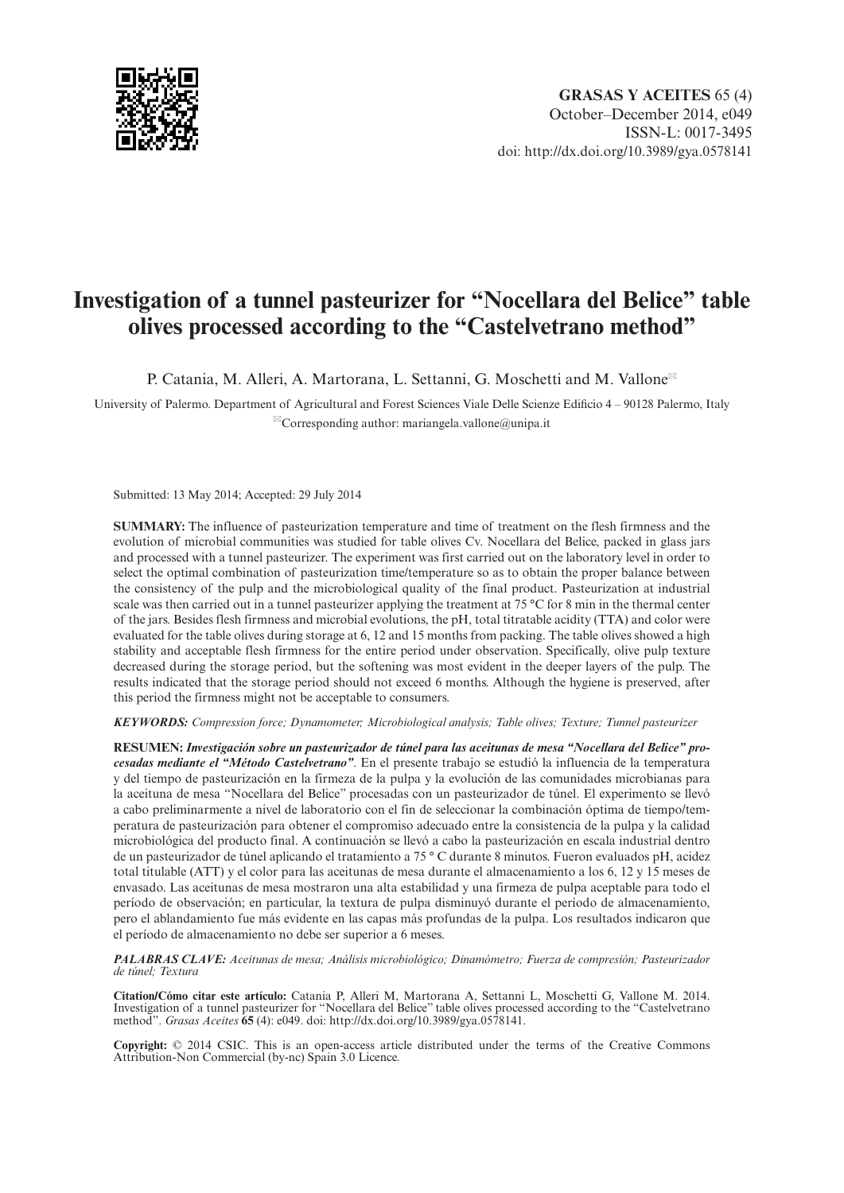

# **Investigation of a tunnel pasteurizer for "Nocellara del Belice" table olives processed according to the "Castelvetrano method"**

P. Catania, M. Alleri, A. Martorana, L. Settanni, G. Moschetti and M. Vallone<sup>⊠</sup>

University of Palermo. Department of Agricultural and Forest Sciences Viale Delle Scienze Edificio 4 – 90128 Palermo, Italy  $^{\boxtimes}$ Corresponding author: mariangela.vallone@unipa.it

Submitted: 13 May 2014; Accepted: 29 July 2014

**SUMMARY:** The influence of pasteurization temperature and time of treatment on the flesh firmness and the evolution of microbial communities was studied for table olives Cv. Nocellara del Belice, packed in glass jars and processed with a tunnel pasteurizer. The experiment was first carried out on the laboratory level in order to select the optimal combination of pasteurization time/temperature so as to obtain the proper balance between the consistency of the pulp and the microbiological quality of the final product. Pasteurization at industrial scale was then carried out in a tunnel pasteurizer applying the treatment at 75 °C for 8 min in the thermal center of the jars. Besides flesh firmness and microbial evolutions, the pH, total titratable acidity (TTA) and color were evaluated for the table olives during storage at 6, 12 and 15 months from packing. The table olives showed a high stability and acceptable flesh firmness for the entire period under observation. Specifically, olive pulp texture decreased during the storage period, but the softening was most evident in the deeper layers of the pulp. The results indicated that the storage period should not exceed 6 months. Although the hygiene is preserved, after this period the firmness might not be acceptable to consumers.

# *KEYWORDS: Compression force; Dynamometer; Microbiological analysis; Table olives; Texture; Tunnel pasteurizer*

**RESUMEN:** *Investigación sobre un pasteurizador de túnel para las aceitunas de mesa "Nocellara del Belice" procesadas mediante el "Método Castelvetrano"*. En el presente trabajo se estudió la influencia de la temperatura y del tiempo de pasteurización en la firmeza de la pulpa y la evolución de las comunidades microbianas para la aceituna de mesa "Nocellara del Belice" procesadas con un pasteurizador de túnel. El experimento se llevó a cabo preliminarmente a nivel de laboratorio con el fin de seleccionar la combinación óptima de tiempo/temperatura de pasteurización para obtener el compromiso adecuado entre la consistencia de la pulpa y la calidad microbiológica del producto final. A continuación se llevó a cabo la pasteurización en escala industrial dentro de un pasteurizador de túnel aplicando el tratamiento a 75 ° C durante 8 minutos. Fueron evaluados pH, acidez total titulable (ATT) y el color para las aceitunas de mesa durante el almacenamiento a los 6, 12 y 15 meses de envasado. Las aceitunas de mesa mostraron una alta estabilidad y una firmeza de pulpa aceptable para todo el período de observación; en particular, la textura de pulpa disminuyó durante el período de almacenamiento, pero el ablandamiento fue más evidente en las capas más profundas de la pulpa. Los resultados indicaron que el período de almacenamiento no debe ser superior a 6 meses.

*PALABRAS CLAVE: Aceitunas de mesa; Análisis microbiológico; Dinamómetro; Fuerza de compresión; Pasteurizador de túnel; Textura*

**Citation/Cómo citar este artículo:** Catania P, Alleri M, Martorana A, Settanni L, Moschetti G, Vallone M. 2014. Investigation of a tunnel pasteurizer for "Nocellara del Belice" table olives processed according to the "Castelvetrano method". *Grasas Aceites* **65** (4): e049. doi: http://dx.doi.org/10.3989/gya.0578141.

**Copyright:** © 2014 CSIC. This is an open-access article distributed under the terms of the Creative Commons Attribution-Non Commercial (by-nc) Spain 3.0 Licence.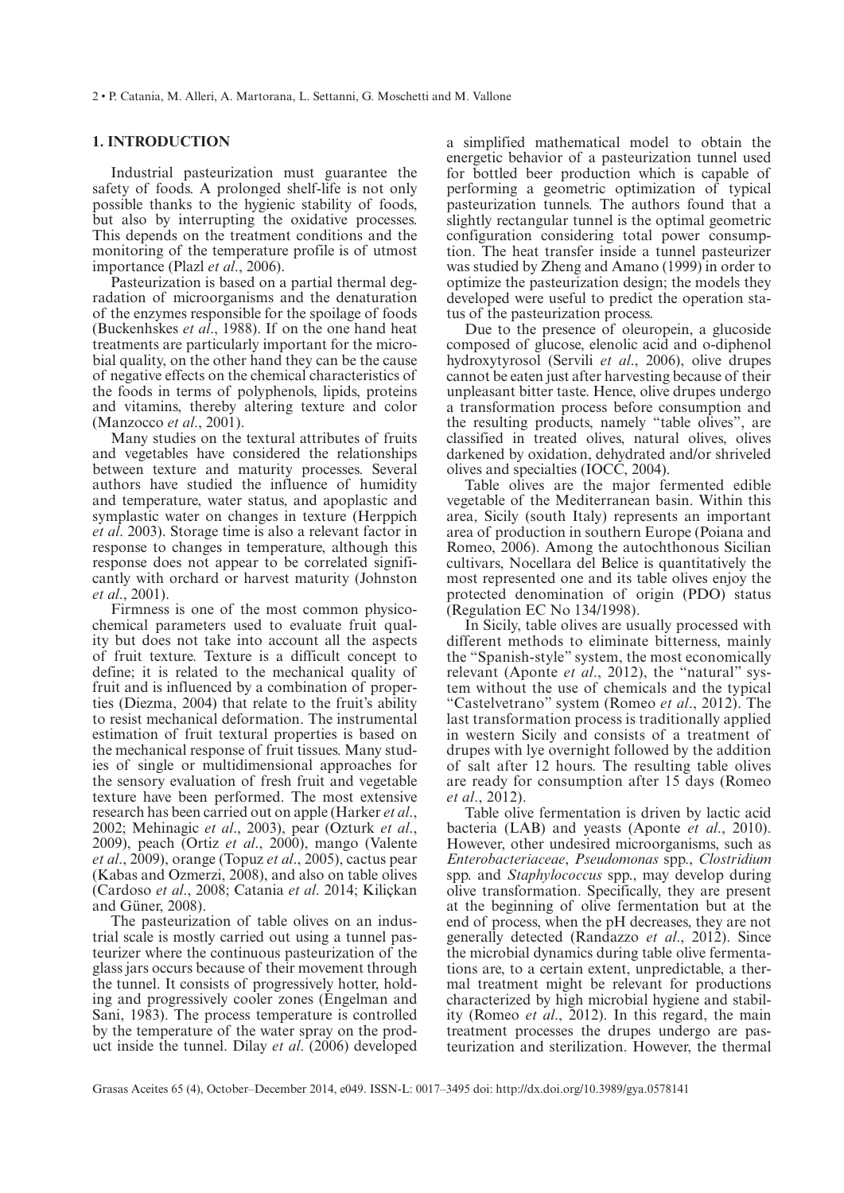## **1. INTRODUCTION**

Industrial pasteurization must guarantee the safety of foods. A prolonged shelf-life is not only possible thanks to the hygienic stability of foods, but also by interrupting the oxidative processes. This depends on the treatment conditions and the monitoring of the temperature profile is of utmost importance (Plazl *et al*., 2006).

Pasteurization is based on a partial thermal degradation of microorganisms and the denaturation of the enzymes responsible for the spoilage of foods (Buckenhskes *et al*., 1988). If on the one hand heat treatments are particularly important for the microbial quality, on the other hand they can be the cause of negative effects on the chemical characteristics of the foods in terms of polyphenols, lipids, proteins and vitamins, thereby altering texture and color (Manzocco *et al*., 2001).

Many studies on the textural attributes of fruits and vegetables have considered the relationships between texture and maturity processes. Several authors have studied the influence of humidity and temperature, water status, and apoplastic and symplastic water on changes in texture (Herppich *et al*. 2003). Storage time is also a relevant factor in response to changes in temperature, although this response does not appear to be correlated significantly with orchard or harvest maturity (Johnston *et al*., 2001).

Firmness is one of the most common physicochemical parameters used to evaluate fruit quality but does not take into account all the aspects of fruit texture. Texture is a difficult concept to define; it is related to the mechanical quality of fruit and is influenced by a combination of properties (Diezma, 2004) that relate to the fruit's ability to resist mechanical deformation. The instrumental estimation of fruit textural properties is based on the mechanical response of fruit tissues. Many studies of single or multidimensional approaches for the sensory evaluation of fresh fruit and vegetable texture have been performed. The most extensive research has been carried out on apple (Harker *et al*., 2002; Mehinagic *et al*., 2003), pear (Ozturk *et al*., 2009), peach (Ortiz *et al*., 2000), mango (Valente *et al*., 2009), orange (Topuz *et al*., 2005), cactus pear (Kabas and Ozmerzi, 2008), and also on table olives (Cardoso *et al*., 2008; Catania *et al*. 2014; Kiliçkan and Güner, 2008).

The pasteurization of table olives on an industrial scale is mostly carried out using a tunnel pasteurizer where the continuous pasteurization of the glass jars occurs because of their movement through the tunnel. It consists of progressively hotter, holding and progressively cooler zones (Engelman and Sani, 1983). The process temperature is controlled by the temperature of the water spray on the product inside the tunnel. Dilay *et al*. (2006) developed

a simplified mathematical model to obtain the energetic behavior of a pasteurization tunnel used for bottled beer production which is capable of performing a geometric optimization of typical pasteurization tunnels. The authors found that a slightly rectangular tunnel is the optimal geometric configuration considering total power consumption. The heat transfer inside a tunnel pasteurizer was studied by Zheng and Amano (1999) in order to optimize the pasteurization design; the models they developed were useful to predict the operation status of the pasteurization process.

Due to the presence of oleuropein, a glucoside composed of glucose, elenolic acid and o-diphenol hydroxytyrosol (Servili *et al*., 2006), olive drupes cannot be eaten just after harvesting because of their unpleasant bitter taste. Hence, olive drupes undergo a transformation process before consumption and the resulting products, namely "table olives", are classified in treated olives, natural olives, olives darkened by oxidation, dehydrated and/or shriveled olives and specialties (IOCC, 2004).

Table olives are the major fermented edible vegetable of the Mediterranean basin. Within this area, Sicily (south Italy) represents an important area of production in southern Europe (Poiana and Romeo, 2006). Among the autochthonous Sicilian cultivars, Nocellara del Belice is quantitatively the most represented one and its table olives enjoy the protected denomination of origin (PDO) status (Regulation EC No 134/1998).

In Sicily, table olives are usually processed with different methods to eliminate bitterness, mainly the "Spanish-style" system, the most economically relevant (Aponte *et al*., 2012), the "natural" system without the use of chemicals and the typical "Castelvetrano" system (Romeo *et al*., 2012). The last transformation process is traditionally applied in western Sicily and consists of a treatment of drupes with lye overnight followed by the addition of salt after 12 hours. The resulting table olives are ready for consumption after 15 days (Romeo *et al*., 2012).

Table olive fermentation is driven by lactic acid bacteria (LAB) and yeasts (Aponte *et al*., 2010). However, other undesired microorganisms, such as *Enterobacteriaceae*, *Pseudomonas* spp., *Clostridium* spp. and *Staphylococcus* spp., may develop during olive transformation. Specifically, they are present at the beginning of olive fermentation but at the end of process, when the pH decreases, they are not generally detected (Randazzo *et al*., 2012). Since the microbial dynamics during table olive fermentations are, to a certain extent, unpredictable, a thermal treatment might be relevant for productions characterized by high microbial hygiene and stability (Romeo *et al*., 2012). In this regard, the main treatment processes the drupes undergo are pasteurization and sterilization. However, the thermal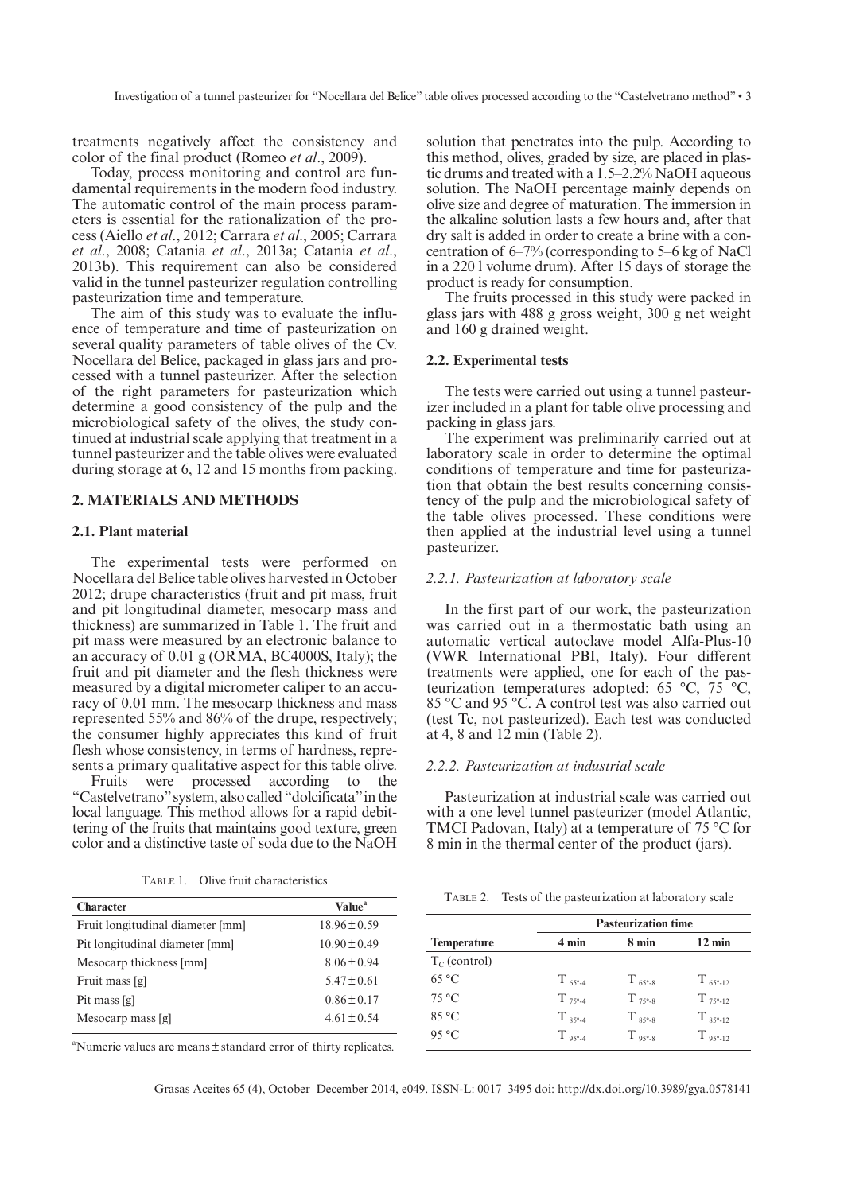treatments negatively affect the consistency and color of the final product (Romeo *et al*., 2009).

Today, process monitoring and control are fundamental requirements in the modern food industry. The automatic control of the main process parameters is essential for the rationalization of the process (Aiello *et al*., 2012; Carrara *et al*., 2005; Carrara *et al*., 2008; Catania *et al*., 2013a; Catania *et al*., 2013b). This requirement can also be considered valid in the tunnel pasteurizer regulation controlling pasteurization time and temperature.

The aim of this study was to evaluate the influence of temperature and time of pasteurization on several quality parameters of table olives of the Cv. Nocellara del Belice, packaged in glass jars and processed with a tunnel pasteurizer. After the selection of the right parameters for pasteurization which determine a good consistency of the pulp and the microbiological safety of the olives, the study continued at industrial scale applying that treatment in a tunnel pasteurizer and the table olives were evaluated during storage at 6, 12 and 15 months from packing.

## **2. MATERIALS AND METHODS**

## **2.1. Plant material**

The experimental tests were performed on Nocellara del Belice table olives harvested in October 2012; drupe characteristics (fruit and pit mass, fruit and pit longitudinal diameter, mesocarp mass and thickness) are summarized in Table 1. The fruit and pit mass were measured by an electronic balance to an accuracy of 0.01 g (ORMA, BC4000S, Italy); the fruit and pit diameter and the flesh thickness were measured by a digital micrometer caliper to an accuracy of 0.01 mm. The mesocarp thickness and mass represented 55% and 86% of the drupe, respectively; the consumer highly appreciates this kind of fruit flesh whose consistency, in terms of hardness, represents a primary qualitative aspect for this table olive.

Fruits were processed according to the "Castelvetrano" system, also called "dolcificata" in the local language. This method allows for a rapid debittering of the fruits that maintains good texture, green color and a distinctive taste of soda due to the NaOH

| Table 1. | Olive fruit characteristics |  |  |
|----------|-----------------------------|--|--|
|----------|-----------------------------|--|--|

solution that penetrates into the pulp. According to this method, olives, graded by size, are placed in plastic drums and treated with a 1.5–2.2% NaOH aqueous solution. The NaOH percentage mainly depends on olive size and degree of maturation. The immersion in the alkaline solution lasts a few hours and, after that dry salt is added in order to create a brine with a concentration of 6–7% (corresponding to 5–6 kg of NaCl in a 220 l volume drum). After 15 days of storage the product is ready for consumption.

The fruits processed in this study were packed in glass jars with 488 g gross weight, 300 g net weight and 160 g drained weight.

#### **2.2. Experimental tests**

The tests were carried out using a tunnel pasteurizer included in a plant for table olive processing and packing in glass jars.

The experiment was preliminarily carried out at laboratory scale in order to determine the optimal conditions of temperature and time for pasteurization that obtain the best results concerning consistency of the pulp and the microbiological safety of the table olives processed. These conditions were then applied at the industrial level using a tunnel pasteurizer.

## *2.2.1. Pasteurization at laboratory scale*

In the first part of our work, the pasteurization was carried out in a thermostatic bath using an automatic vertical autoclave model Alfa-Plus-10 (VWR International PBI, Italy). Four different treatments were applied, one for each of the pasteurization temperatures adopted: 65 °C, 75 °C, 85 °C and 95 °C. A control test was also carried out (test Tc, not pasteurized). Each test was conducted at 4, 8 and 12 min (Table 2).

# *2.2.2. Pasteurization at industrial scale*

Pasteurization at industrial scale was carried out with a one level tunnel pasteurizer (model Atlantic, TMCI Padovan, Italy) at a temperature of 75 °C for 8 min in the thermal center of the product (jars).

| TABLE 2. Tests of the pasteurization at laboratory scale |  |
|----------------------------------------------------------|--|
|----------------------------------------------------------|--|

| <b>Character</b>                                                                                               |                  | TABLE 2. TESTS OF THE DASIELITZATION AT IADOLATOLY SCAN |                      |                            |                       |
|----------------------------------------------------------------------------------------------------------------|------------------|---------------------------------------------------------|----------------------|----------------------------|-----------------------|
| Fruit longitudinal diameter [mm]                                                                               | $18.96 \pm 0.59$ |                                                         |                      | <b>Pasteurization time</b> |                       |
| Pit longitudinal diameter [mm]                                                                                 | $10.90 \pm 0.49$ | <b>Temperature</b>                                      | $4 \text{ min}$      | 8 min                      | $12 \text{ min}$      |
| Mesocarp thickness [mm]                                                                                        | $8.06 \pm 0.94$  | $T_c$ (control)                                         |                      |                            |                       |
| Fruit mass [g]                                                                                                 | $5.47 \pm 0.61$  | $65^{\circ}$ C                                          | $T_{65^{\circ}-4}$   | $T_{65^{\circ} - 8}$       | $T_{65^{\circ} - 12}$ |
| Pit mass [g]                                                                                                   | $0.86 \pm 0.17$  | $75^{\circ}$ C                                          | $T_{75^{\circ} - 4}$ | $T_{75^{\circ} - 8}$       | $T_{75^{\circ} - 12}$ |
| Mesocarp mass [g]                                                                                              | $4.61 \pm 0.54$  | $85^{\circ}$ C                                          | $T_{85^{\circ} - 4}$ | $T_{85^\circ.8}$           | $T_{85^{\circ}12}$    |
| With the continuous components of the continuous and all the continuous fields of the continuous sections of t |                  | $95^{\circ}$ C                                          | $T_{95^\circ-4}$     | $T_{.95^\circ R}$          | $T_{95^{\circ}12}$    |
|                                                                                                                |                  |                                                         |                      |                            |                       |

<sup>a</sup>Numeric values are means ± standard error of thirty replicates.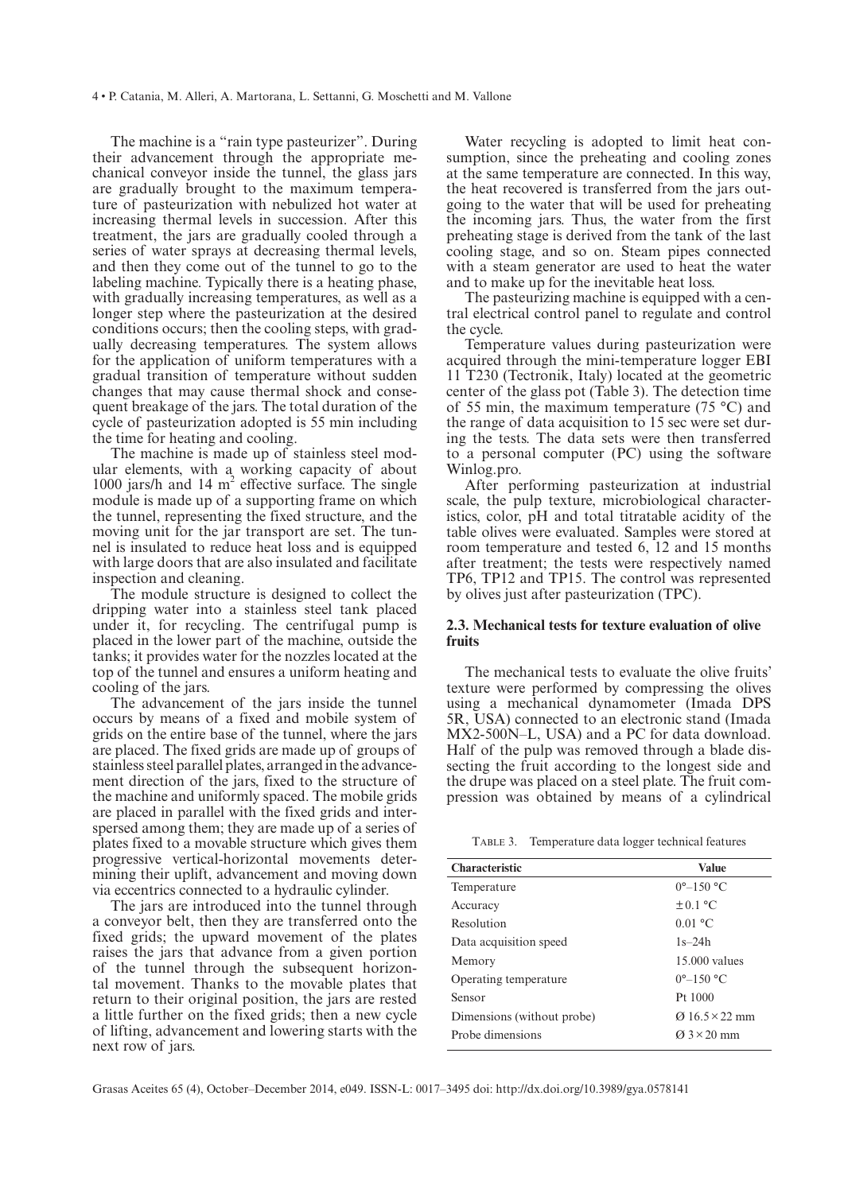The machine is a "rain type pasteurizer". During their advancement through the appropriate me chanical conveyor inside the tunnel, the glass jars are gradually brought to the maximum temperature of pasteurization with nebulized hot water at increasing thermal levels in succession. After this treatment, the jars are gradually cooled through a series of water sprays at decreasing thermal levels, and then they come out of the tunnel to go to the labeling machine. Typically there is a heating phase, with gradually increasing temperatures, as well as a longer step where the pasteurization at the desired conditions occurs; then the cooling steps, with gradually decreasing temperatures. The system allows for the application of uniform temperatures with a gradual transition of temperature without sudden changes that may cause thermal shock and consequent breakage of the jars. The total duration of the cycle of pasteurization adopted is 55 min including the time for heating and cooling.

The machine is made up of stainless steel modular elements, with a working capacity of about 1000 jars/h and 14  $m<sup>2</sup>$  effective surface. The single module is made up of a supporting frame on which the tunnel, representing the fixed structure, and the moving unit for the jar transport are set. The tunnel is insulated to reduce heat loss and is equipped with large doors that are also insulated and facilitate inspection and cleaning.

The module structure is designed to collect the dripping water into a stainless steel tank placed under it, for recycling. The centrifugal pump is placed in the lower part of the machine, outside the tanks; it provides water for the nozzles located at the top of the tunnel and ensures a uniform heating and cooling of the jars.

The advancement of the jars inside the tunnel occurs by means of a fixed and mobile system of grids on the entire base of the tunnel, where the jars are placed. The fixed grids are made up of groups of stainless steel parallel plates, arranged in the advancement direction of the jars, fixed to the structure of the machine and uniformly spaced. The mobile grids are placed in parallel with the fixed grids and interspersed among them; they are made up of a series of plates fixed to a movable structure which gives them progressive vertical-horizontal movements determining their uplift, advancement and moving down via eccentrics connected to a hydraulic cylinder.

The jars are introduced into the tunnel through a conveyor belt, then they are transferred onto the fixed grids; the upward movement of the plates raises the jars that advance from a given portion of the tunnel through the subsequent horizontal movement. Thanks to the movable plates that return to their original position, the jars are rested a little further on the fixed grids; then a new cycle of lifting, advancement and lowering starts with the next row of jars.

Water recycling is adopted to limit heat consumption, since the preheating and cooling zones at the same temperature are connected. In this way, the heat recovered is transferred from the jars outgoing to the water that will be used for preheating the incoming jars. Thus, the water from the first preheating stage is derived from the tank of the last cooling stage, and so on. Steam pipes connected with a steam generator are used to heat the water and to make up for the inevitable heat loss.

The pasteurizing machine is equipped with a central electrical control panel to regulate and control the cycle.

Temperature values during pasteurization were acquired through the mini-temperature logger EBI 11 T230 (Tectronik, Italy) located at the geometric center of the glass pot (Table 3). The detection time of 55 min, the maximum temperature (75 °C) and the range of data acquisition to 15 sec were set during the tests. The data sets were then transferred to a personal computer (PC) using the software Winlog.pro.

After performing pasteurization at industrial scale, the pulp texture, microbiological characteristics, color, pH and total titratable acidity of the table olives were evaluated. Samples were stored at room temperature and tested 6, 12 and 15 months after treatment; the tests were respectively named TP6, TP12 and TP15. The control was represented by olives just after pasteurization (TPC).

## **2.3. Mechanical tests for texture evaluation of olive fruits**

The mechanical tests to evaluate the olive fruits' texture were performed by compressing the olives using a mechanical dynamometer (Imada DPS 5R, USA) connected to an electronic stand (Imada MX2-500N–L, USA) and a PC for data download. Half of the pulp was removed through a blade dissecting the fruit according to the longest side and the drupe was placed on a steel plate. The fruit compression was obtained by means of a cylindrical

| TABLE 3. | Temperature data logger technical features |  |  |  |
|----------|--------------------------------------------|--|--|--|
|----------|--------------------------------------------|--|--|--|

| <b>Characteristic</b>      | <b>Value</b>                |
|----------------------------|-----------------------------|
| Temperature                | $0^{\circ} - 150^{\circ}$ C |
| Accuracy                   | $\pm 0.1$ °C                |
| Resolution                 | 0.01 °C                     |
| Data acquisition speed     | $1s - 24h$                  |
| Memory                     | $15.000$ values             |
| Operating temperature      | $0^{\circ} - 150^{\circ}$ C |
| Sensor                     | Pt 1000                     |
| Dimensions (without probe) | $Q$ 16.5 $\times$ 22 mm     |
| Probe dimensions           | $(2.3 \times 20)$ mm        |
|                            |                             |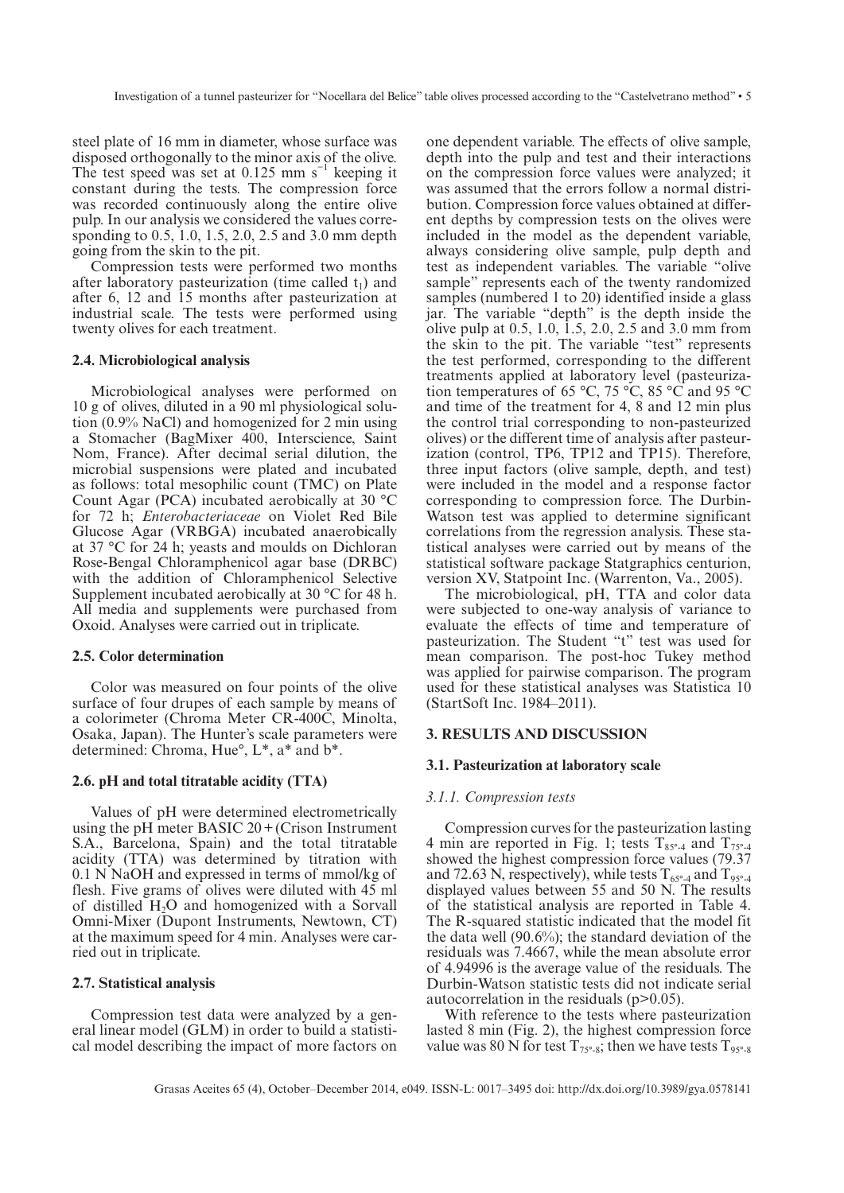steel plate of 16 mm in diameter, whose surface was disposed orthogonally to the minor axis of the olive. The test speed was set at  $0.125$  mm s<sup>-1</sup> keeping it constant during the tests. The compression force was recorded continuously along the entire olive pulp. In our analysis we considered the values corresponding to 0.5, 1.0, 1.5, 2.0, 2.5 and 3.0 mm depth going from the skin to the pit.

Compression tests were performed two months after laboratory pasteurization (time called  $t_1$ ) and after 6, 12 and 15 months after pasteurization at industrial scale. The tests were performed using twenty olives for each treatment.

## **2.4. Microbiological analysis**

Microbiological analyses were performed on 10 g of olives, diluted in a 90 ml physiological solution (0.9% NaCl) and homogenized for 2 min using a Stomacher (BagMixer 400, Interscience, Saint Nom, France). After decimal serial dilution, the microbial suspensions were plated and incubated as follows: total mesophilic count (TMC) on Plate Count Agar (PCA) incubated aerobically at 30 °C for 72 h; *Enterobacteriaceae* on Violet Red Bile Glucose Agar (VRBGA) incubated anaerobically at 37 °C for 24 h; yeasts and moulds on Dichloran Rose-Bengal Chloramphenicol agar base (DRBC) with the addition of Chloramphenicol Selective Supplement incubated aerobically at 30 °C for 48 h. All media and supplements were purchased from Oxoid. Analyses were carried out in triplicate.

# **2.5. Color determination**

Color was measured on four points of the olive surface of four drupes of each sample by means of a colorimeter (Chroma Meter CR-400C, Minolta, Osaka, Japan). The Hunter's scale parameters were determined: Chroma, Hue°, L\*, a\* and b\*.

# **2.6. pH and total titratable acidity (TTA)**

Values of pH were determined electrometrically using the pH meter BASIC 20 + (Crison Instrument S.A., Barcelona, Spain) and the total titratable acidity (TTA) was determined by titration with 0.1 N NaOH and expressed in terms of mmol/kg of flesh. Five grams of olives were diluted with  $45 \text{ ml}$ of distilled  $H_2O$  and homogenized with a Sorvall Omni-Mixer (Dupont Instruments, Newtown, CT) at the maximum speed for 4 min. Analyses were carried out in triplicate.

## **2.7. Statistical analysis**

Compression test data were analyzed by a general linear model (GLM) in order to build a statistical model describing the impact of more factors on

one dependent variable. The effects of olive sample, depth into the pulp and test and their interactions on the compression force values were analyzed; it was assumed that the errors follow a normal distribution. Compression force values obtained at different depths by compression tests on the olives were included in the model as the dependent variable, always considering olive sample, pulp depth and test as independent variables. The variable "olive sample" represents each of the twenty randomized samples (numbered 1 to 20) identified inside a glass jar. The variable "depth" is the depth inside the olive pulp at 0.5, 1.0, 1.5, 2.0, 2.5 and 3.0 mm from the skin to the pit. The variable "test" represents the test performed, corresponding to the different treatments applied at laboratory level (pasteurization temperatures of 65 °C, 75 °C, 85 °C and 95 °C and time of the treatment for 4, 8 and 12 min plus the control trial corresponding to non-pasteurized olives) or the different time of analysis after pasteurization (control, TP6, TP12 and TP15). Therefore, three input factors (olive sample, depth, and test) were included in the model and a response factor corresponding to compression force. The Durbin-Watson test was applied to determine significant correlations from the regression analysis. These statistical analyses were carried out by means of the statistical software package Statgraphics centurion, version XV, Statpoint Inc. (Warrenton, Va., 2005).

The microbiological, pH, TTA and color data were subjected to one-way analysis of variance to evaluate the effects of time and temperature of pasteurization. The Student "t" test was used for mean comparison. The post-hoc Tukey method was applied for pairwise comparison. The program used for these statistical analyses was Statistica 10 (StartSoft Inc. 1984–2011).

#### **3. RESULTS AND DISCUSSION**

#### **3.1. Pasteurization at laboratory scale**

#### *3.1.1. Compression tests*

Compression curves for the pasteurization lasting 4 min are reported in Fig. 1; tests  $T_{85^\circ-4}$  and  $T_{75^\circ-4}$ showed the highest compression force values (79.37 and 72.63 N, respectively), while tests  $T_{65^\circ-4}$  and  $T_{95^\circ-4}$ displayed values between 55 and 50 N. The results of the statistical analysis are reported in Table 4. The R-squared statistic indicated that the model fit the data well (90.6%); the standard deviation of the residuals was 7.4667, while the mean absolute error of 4.94996 is the average value of the residuals. The Durbin-Watson statistic tests did not indicate serial autocorrelation in the residuals (p>0.05).

With reference to the tests where pasteurization lasted 8 min (Fig. 2), the highest compression force value was 80 N for test  $T_{75^\circ}$ -8; then we have tests  $T_{95^\circ}$ -8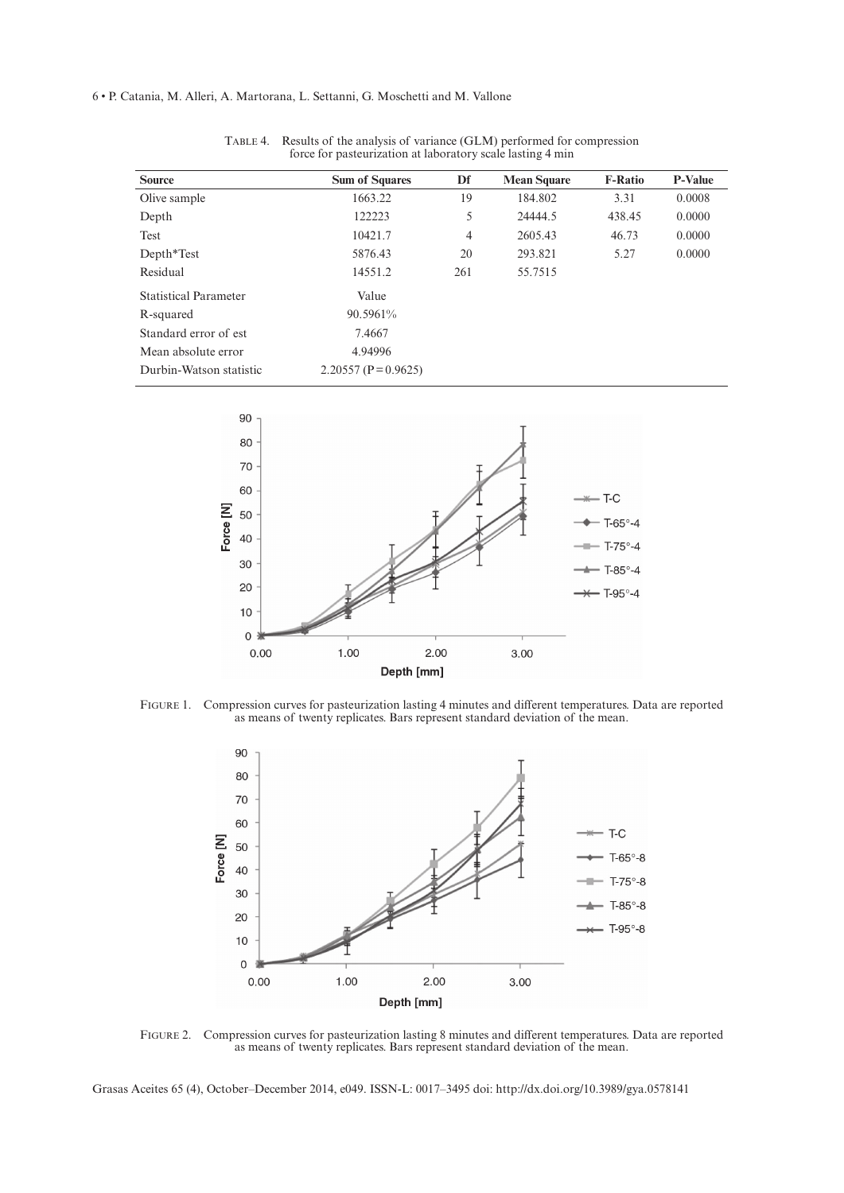| <b>Source</b>                | <b>Sum of Squares</b> | Df             | <b>Mean Square</b> | <b>F-Ratio</b> | <b>P-Value</b> |
|------------------------------|-----------------------|----------------|--------------------|----------------|----------------|
| Olive sample                 | 1663.22               | 19             | 184.802            | 3.31           | 0.0008         |
| Depth                        | 122223                | 5              | 24444.5            | 438.45         | 0.0000         |
| Test                         | 10421.7               | $\overline{4}$ | 2605.43            | 46.73          | 0.0000         |
| Depth*Test                   | 5876.43               | 20             | 293.821            | 5.27           | 0.0000         |
| Residual                     | 14551.2               | 261            | 55.7515            |                |                |
| <b>Statistical Parameter</b> | Value                 |                |                    |                |                |
| R-squared                    | 90.5961%              |                |                    |                |                |
| Standard error of est.       | 7.4667                |                |                    |                |                |
| Mean absolute error          | 4.94996               |                |                    |                |                |
| Durbin-Watson statistic      | $2.20557 (P=0.9625)$  |                |                    |                |                |

TABLE 4. Results of the analysis of variance (GLM) performed for compression force for pasteurization at laboratory scale lasting 4 min



FIGURE 1. Compression curves for pasteurization lasting 4 minutes and different temperatures. Data are reported as means of twenty replicates. Bars represent standard deviation of the mean.



FIGURE 2. Compression curves for pasteurization lasting 8 minutes and different temperatures. Data are reported as means of twenty replicates. Bars represent standard deviation of the mean.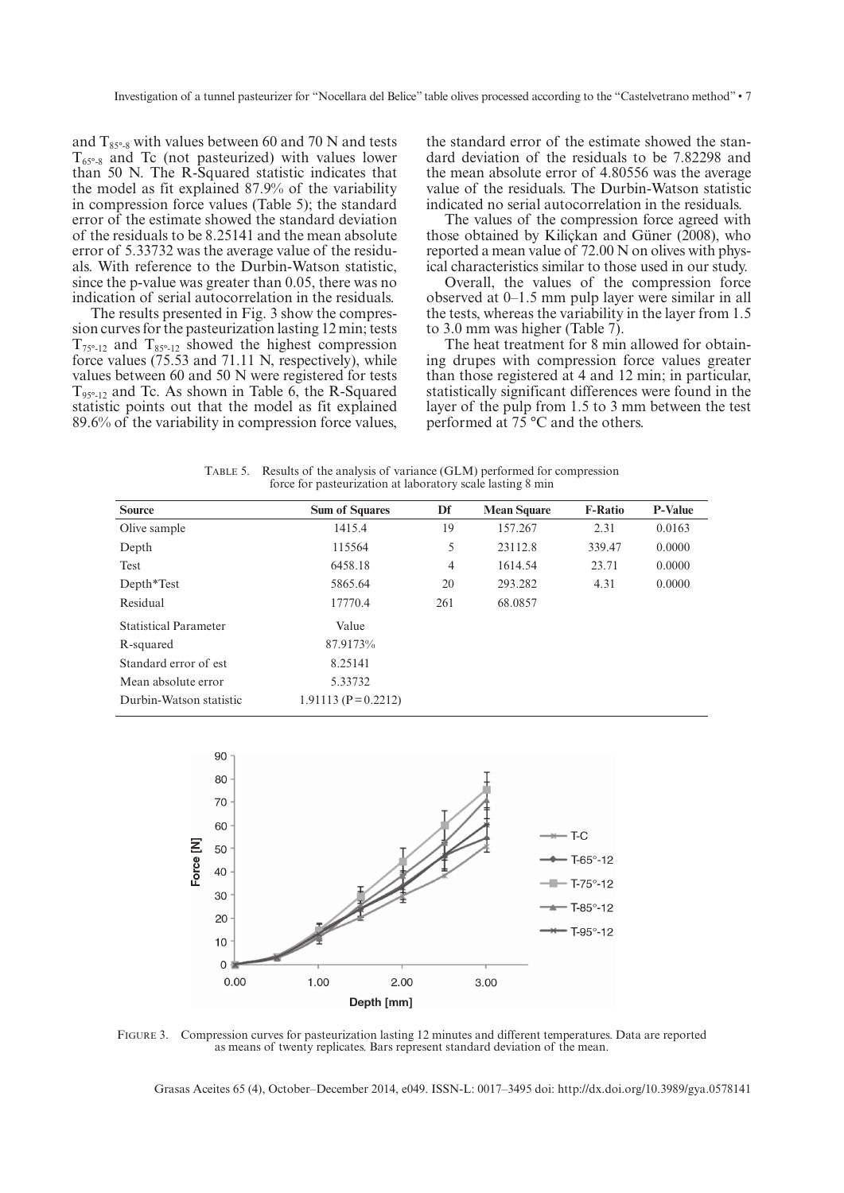and  $T_{85°-8}$  with values between 60 and 70 N and tests  $T_{65°-8}$  and Tc (not pasteurized) with values lower than 50 N. The R-Squared statistic indicates that the model as fit explained 87.9% of the variability in compression force values (Table 5); the standard error of the estimate showed the standard deviation of the residuals to be 8.25141 and the mean absolute error of 5.33732 was the average value of the residuals. With reference to the Durbin-Watson statistic, since the p-value was greater than 0.05, there was no indication of serial autocorrelation in the residuals.

The results presented in Fig. 3 show the compression curves for the pasteurization lasting 12 min; tests  $T_{75^\circ-12}$  and  $T_{85^\circ-12}$  showed the highest compression force values (75.53 and 71.11 N, respectively), while values between 60 and 50 N were registered for tests  $T_{95^\circ,12}$  and Tc. As shown in Table 6, the R-Squared statistic points out that the model as fit explained 89.6% of the variability in compression force values,

the standard error of the estimate showed the standard deviation of the residuals to be 7.82298 and the mean absolute error of 4.80556 was the average value of the residuals. The Durbin-Watson statistic indicated no serial autocorrelation in the residuals.

The values of the compression force agreed with those obtained by Kiliçkan and Güner (2008), who reported a mean value of 72.00 N on olives with physical characteristics similar to those used in our study.

Overall, the values of the compression force observed at 0–1.5 mm pulp layer were similar in all the tests, whereas the variability in the layer from 1.5 to 3.0 mm was higher (Table 7).

The heat treatment for 8 min allowed for obtaining drupes with compression force values greater than those registered at 4 and 12 min; in particular, statistically significant differences were found in the layer of the pulp from 1.5 to 3 mm between the test performed at 75 °C and the others.

TABLE 5. Results of the analysis of variance (GLM) performed for compression force for pasteurization at laboratory scale lasting 8 min

| <b>Source</b>                | <b>Sum of Squares</b> | Df  | <b>Mean Square</b> | <b>F-Ratio</b> | <b>P-Value</b> |
|------------------------------|-----------------------|-----|--------------------|----------------|----------------|
| Olive sample                 | 1415.4                | 19  | 157.267            | 2.31           | 0.0163         |
| Depth                        | 115564                | 5   | 23112.8            | 339.47         | 0.0000         |
| Test                         | 6458.18               | 4   | 1614.54            | 23.71          | 0.0000         |
| Depth*Test                   | 5865.64               | 20  | 293.282            | 4.31           | 0.0000         |
| Residual                     | 17770.4               | 261 | 68.0857            |                |                |
| <b>Statistical Parameter</b> | Value                 |     |                    |                |                |
| R-squared                    | 87.9173%              |     |                    |                |                |
| Standard error of est        | 8.25141               |     |                    |                |                |
| Mean absolute error          | 5.33732               |     |                    |                |                |
| Durbin-Watson statistic      | $1.91113 (P=0.2212)$  |     |                    |                |                |



FIGURE 3. Compression curves for pasteurization lasting 12 minutes and different temperatures. Data are reported as means of twenty replicates. Bars represent standard deviation of the mean.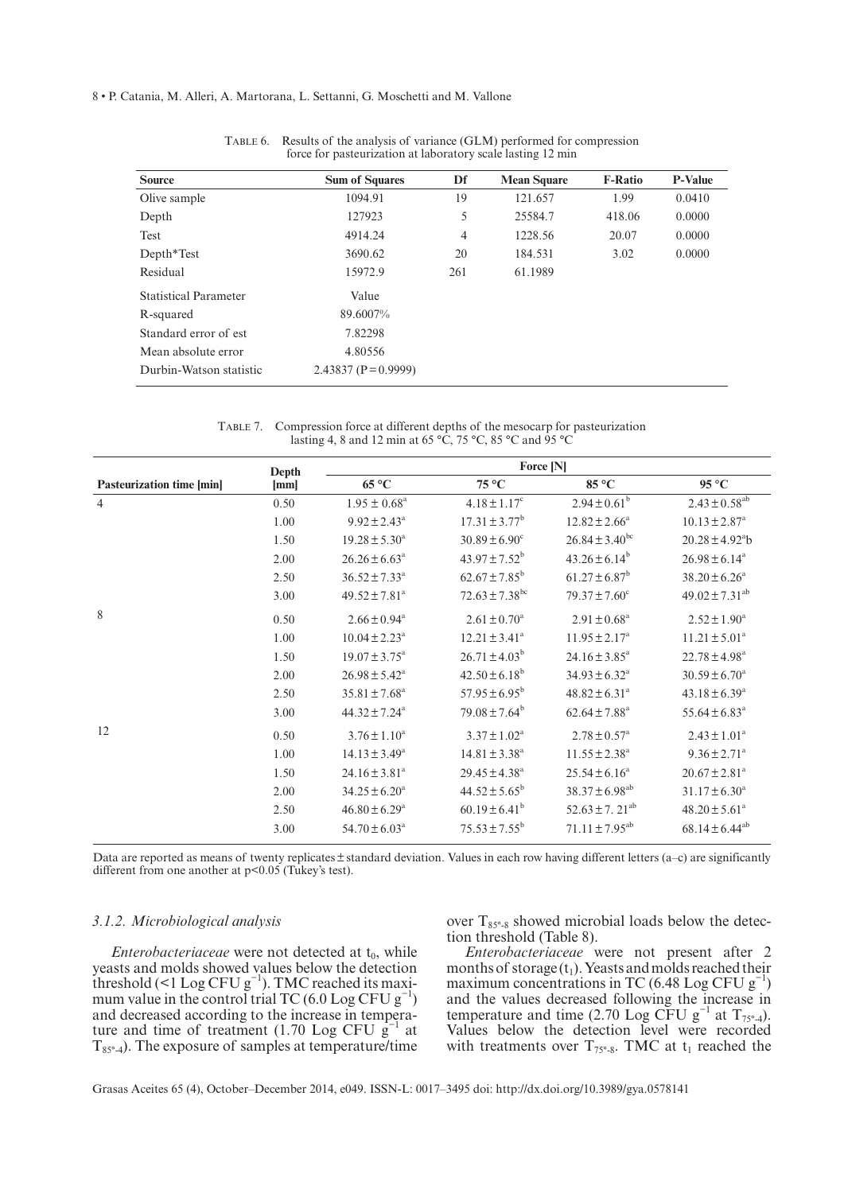| <b>Source</b>                | <b>Sum of Squares</b> | Df             | <b>Mean Square</b> | <b>F-Ratio</b> | <b>P-Value</b> |
|------------------------------|-----------------------|----------------|--------------------|----------------|----------------|
| Olive sample                 | 1094.91               | 19             | 121.657            | 1.99           | 0.0410         |
| Depth                        | 127923                | 5              | 25584.7            | 418.06         | 0.0000         |
| Test                         | 4914.24               | $\overline{4}$ | 1228.56            | 20.07          | 0.0000         |
| Depth*Test                   | 3690.62               | 20             | 184.531            | 3.02           | 0.0000         |
| Residual                     | 15972.9               | 261            | 61.1989            |                |                |
| <b>Statistical Parameter</b> | Value                 |                |                    |                |                |
| R-squared                    | 89.6007%              |                |                    |                |                |
| Standard error of est.       | 7.82298               |                |                    |                |                |
| Mean absolute error          | 4.80556               |                |                    |                |                |
| Durbin-Watson statistic      | $2.43837 (P=0.9999)$  |                |                    |                |                |

TABLE 6. Results of the analysis of variance (GLM) performed for compression force for pasteurization at laboratory scale lasting 12 min

TABLE 7. Compression force at different depths of the mesocarp for pasteurization lasting 4, 8 and 12 min at 65 °C, 75 °C, 85 °C and 95 °C

|                                  | Depth | Force [N]                     |                                |                               |                                 |  |
|----------------------------------|-------|-------------------------------|--------------------------------|-------------------------------|---------------------------------|--|
| <b>Pasteurization time [min]</b> | [mm]  | $65^{\circ}C$                 | $75^{\circ}C$                  | 85 °C                         | $95^{\circ}C$                   |  |
| $\overline{4}$                   | 0.50  | $1.95 \pm 0.68^{\text{a}}$    | $4.18 \pm 1.17^c$              | $2.94 \pm 0.61^b$             | $2.43 \pm 0.58$ <sup>ab</sup>   |  |
|                                  | 1.00  | $9.92 \pm 2.43^a$             | $17.31 \pm 3.77^{\rm b}$       | $12.82 \pm 2.66^a$            | $10.13 \pm 2.87$ <sup>a</sup>   |  |
|                                  | 1.50  | $19.28 \pm 5.30^a$            | $30.89 \pm 6.90^{\circ}$       | $26.84 \pm 3.40^{\rm bc}$     | $20.28 \pm 4.92$ <sup>a</sup> b |  |
|                                  | 2.00  | $26.26 \pm 6.63^a$            | $43.97 \pm 7.52^b$             | $43.26 \pm 6.14^b$            | $26.98 \pm 6.14$ <sup>a</sup>   |  |
|                                  | 2.50  | $36.52 \pm 7.33^a$            | $62.67 \pm 7.85^b$             | $61.27 \pm 6.87$ <sup>b</sup> | $38.20 \pm 6.26^a$              |  |
|                                  | 3.00  | $49.52 \pm 7.81$ <sup>a</sup> | $72.63 \pm 7.38$ <sup>bc</sup> | $79.37 \pm 7.60^{\circ}$      | $49.02 \pm 7.31^{ab}$           |  |
| 8                                | 0.50  | $2.66 \pm 0.94$ <sup>a</sup>  | $2.61 \pm 0.70^a$              | $2.91 \pm 0.68^a$             | $2.52 \pm 1.90^a$               |  |
|                                  | 1.00  | $10.04 \pm 2.23^{\text{a}}$   | $12.21 \pm 3.41^a$             | $11.95 \pm 2.17^a$            | $11.21 \pm 5.01^a$              |  |
|                                  | 1.50  | $19.07 \pm 3.75^{\mathrm{a}}$ | $26.71 \pm 4.03^b$             | $24.16 \pm 3.85^a$            | $22.78 \pm 4.98^a$              |  |
|                                  | 2.00  | $26.98 \pm 5.42^a$            | $42.50 \pm 6.18^b$             | $34.93 \pm 6.32^{\mathrm{a}}$ | $30.59 \pm 6.70^a$              |  |
|                                  | 2.50  | $35.81 \pm 7.68^a$            | $57.95 \pm 6.95^b$             | $48.82 \pm 6.31^a$            | $43.18 \pm 6.39^a$              |  |
|                                  | 3.00  | $44.32 \pm 7.24$ <sup>a</sup> | $79.08 \pm 7.64^b$             | $62.64 \pm 7.88^{\text{a}}$   | $55.64 \pm 6.83$ <sup>a</sup>   |  |
| 12                               | 0.50  | $3.76 \pm 1.10^a$             | $3.37 \pm 1.02^a$              | $2.78 \pm 0.57$ <sup>a</sup>  | $2.43 \pm 1.01^a$               |  |
|                                  | 1.00  | $14.13 \pm 3.49^a$            | $14.81 \pm 3.38^a$             | $11.55 \pm 2.38^a$            | $9.36 \pm 2.71^a$               |  |
|                                  | 1.50  | $24.16 \pm 3.81^a$            | $29.45 \pm 4.38$ <sup>a</sup>  | $25.54 \pm 6.16^a$            | $20.67 \pm 2.81^a$              |  |
|                                  | 2.00  | $34.25 \pm 6.20^a$            | $44.52 \pm 5.65^{\rm b}$       | $38.37 \pm 6.98^{ab}$         | $31.17 \pm 6.30^a$              |  |
|                                  | 2.50  | $46.80 \pm 6.29$ <sup>a</sup> | $60.19 \pm 6.41^b$             | $52.63 \pm 7.21^{ab}$         | $48.20 \pm 5.61^a$              |  |
|                                  | 3.00  | $54.70 \pm 6.03^{\circ}$      | $75.53 \pm 7.55^{\rm b}$       | $71.11 \pm 7.95^{ab}$         | $68.14 \pm 6.44^{ab}$           |  |

Data are reported as means of twenty replicates ± standard deviation. Values in each row having different letters (a–c) are significantly different from one another at p<0.05 (Tukey's test).

# *3.1.2. Microbiological analysis*

*Enterobacteriaceae* were not detected at t<sub>0</sub>, while yeasts and molds showed values below the detection threshold (<1 Log CFU  $g^{-1}$ ). TMC reached its maximum value in the control trial TC (6.0 Log CFU  $g^{-1}$ ) and decreased according to the increase in temperature and time of treatment (1.70 Log CFU  $g^{-1}$  at  $T_{85°-4}$ ). The exposure of samples at temperature/time

over  $T_{85°-8}$  showed microbial loads below the detection threshold (Table 8).

*Enterobacteriaceae* were not present after 2 months of storage  $(t_1)$ . Yeasts and molds reached their maximum concentrations in TC (6.48 Log CFU  $g^{-1}$ ) and the values decreased following the increase in temperature and time (2.70 Log CFU  $g^{-1}$  at T<sub>75°-4</sub>). Values below the detection level were recorded with treatments over  $T_{75^\circ-8}$ . TMC at  $t_1$  reached the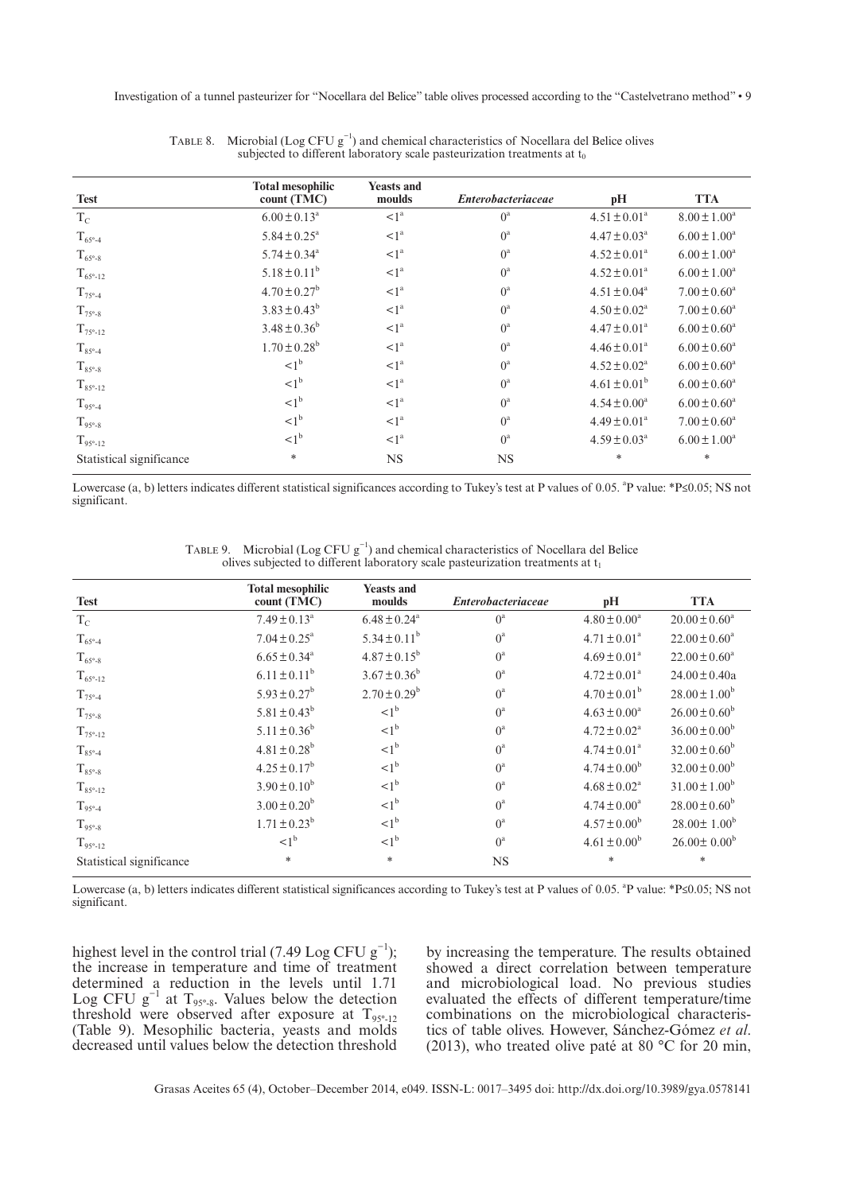Investigation of a tunnel pasteurizer for "Nocellara del Belice" table olives processed according to the "Castelvetrano method" • 9

| <b>Test</b>              | <b>Total mesophilic</b><br>count (TMC) | <b>Yeasts and</b><br>moulds | <b>Enterobacteriaceae</b> | рH                           | <b>TTA</b>        |
|--------------------------|----------------------------------------|-----------------------------|---------------------------|------------------------------|-------------------|
| $T_{\rm C}$              | $6.00 \pm 0.13$ <sup>a</sup>           | $\leq l^a$                  | $0^{\rm a}$               | $4.51 \pm 0.01^a$            | $8.00 \pm 1.00^a$ |
| $T_{65^\circ-4}$         | $5.84 \pm 0.25$ <sup>a</sup>           | $\leq l^a$                  | $0^{\rm a}$               | $4.47 \pm 0.03$ <sup>a</sup> | $6.00 \pm 1.00^a$ |
| $T_{65°-8}$              | $5.74 \pm 0.34$ <sup>a</sup>           | $\leq$ <sup>1</sup>         | $0^a$                     | $4.52 \pm 0.01^a$            | $6.00 \pm 1.00^a$ |
| $T_{65^{\circ}-12}$      | $5.18 \pm 0.11^b$                      | $\leq l^a$                  | $0^a$                     | $4.52 \pm 0.01^a$            | $6.00 \pm 1.00^a$ |
| $T_{75^{\circ}-4}$       | $4.70 \pm 0.27^b$                      | $\leq l^a$                  | $0^a$                     | $4.51 \pm 0.04^a$            | $7.00 \pm 0.60^a$ |
| $T_{75^{\circ} - 8}$     | $3.83 \pm 0.43^b$                      | $\leq l^a$                  | $0^a$                     | $4.50 \pm 0.02^a$            | $7.00 \pm 0.60^a$ |
| $T_{75^{\circ}-12}$      | $3.48 \pm 0.36^b$                      | $\leq$ <sup>1</sup>         | $0^a$                     | $4.47 \pm 0.01^a$            | $6.00 \pm 0.60^a$ |
| $T_{85^\circ-4}$         | $1.70 \pm 0.28^b$                      | $\leq$ <sup>1</sup>         | $0^{\rm a}$               | $4.46 \pm 0.01^a$            | $6.00 \pm 0.60^a$ |
| $T_{85^\circ-8}$         | $\leq l^{\mathrm{b}}$                  | $\leq$ <sup>1</sup>         | $0^a$                     | $4.52 \pm 0.02^a$            | $6.00 \pm 0.60^a$ |
| $T_{85^{\circ}-12}$      | $\leq l^{\mathrm{b}}$                  | $\leq$ <sup>1</sup>         | $0^a$                     | $4.61 \pm 0.01^{\circ}$      | $6.00 \pm 0.60^a$ |
| $T_{95^\circ-4}$         | $\leq l^{\mathrm{b}}$                  | $\leq l^a$                  | $0^a$                     | $4.54 \pm 0.00^a$            | $6.00 \pm 0.60^a$ |
| $T_{95^\circ-8}$         | $\leq l^{\mathrm{b}}$                  | $\leq l^a$                  | $0^a$                     | $4.49 \pm 0.01^a$            | $7.00 \pm 0.60^a$ |
| $T_{95^{\circ}-12}$      | $\leq l^{\mathrm{b}}$                  | $\leq$ <sup>1</sup>         | $0^a$                     | $4.59 \pm 0.03$ <sup>a</sup> | $6.00 \pm 1.00^a$ |
| Statistical significance | $\ast$                                 | NS                          | <b>NS</b>                 | *                            | $\ast$            |

TABLE 8. Microbial (Log CFU  $g^{-1}$ ) and chemical characteristics of Nocellara del Belice olives subjected to different laboratory scale pasteurization treatments at  $t_0$ 

Lowercase (a, b) letters indicates different statistical significances according to Tukey's test at P values of 0.05. <sup>a</sup>P value: \*P≤0.05; NS not significant.

> TABLE 9. Microbial (Log CFU  $g^{-1}$ ) and chemical characteristics of Nocellara del Belice olives subjected to different laboratory scale pasteurization treatments at  $t_1$

| <b>Test</b>              | <b>Total mesophilic</b><br>count (TMC) | <b>Yeasts and</b><br>moulds  | <b>Enterobacteriaceae</b> | pH                           | <b>TTA</b>               |
|--------------------------|----------------------------------------|------------------------------|---------------------------|------------------------------|--------------------------|
| $T_{\rm C}$              | $7.49 \pm 0.13$ <sup>a</sup>           | $6.48 \pm 0.24$ <sup>a</sup> | $0^a$                     | $4.80 \pm 0.00^a$            | $20.00 \pm 0.60^{\circ}$ |
| $T_{65^{\circ}4}$        | $7.04 \pm 0.25$ <sup>a</sup>           | $5.34 \pm 0.11^b$            | $0^a$                     | $4.71 \pm 0.01^a$            | $22.00 \pm 0.60^a$       |
| $T_{65°-8}$              | $6.65 \pm 0.34$ <sup>a</sup>           | $4.87 \pm 0.15^b$            | $0^a$                     | $4.69 \pm 0.01$ <sup>a</sup> | $22.00 \pm 0.60^a$       |
| $T_{65^{\circ}-12}$      | $6.11 \pm 0.11^b$                      | $3.67 \pm 0.36^b$            | $0^a$                     | $4.72 \pm 0.01^a$            | $24.00 \pm 0.40a$        |
| $T_{75^{\circ}4}$        | $5.93 \pm 0.27^b$                      | $2.70 \pm 0.29^b$            | $0^a$                     | $4.70 \pm 0.01^{\circ}$      | $28.00 \pm 1.00^b$       |
| $T_{75^\circ-8}$         | $5.81 \pm 0.43^b$                      | $\leq l^{\mathrm{b}}$        | $0^a$                     | $4.63 \pm 0.00^a$            | $26.00 \pm 0.60^{\circ}$ |
| $T_{75^{\circ}-12}$      | $5.11 \pm 0.36^b$                      | $\leq l^{\mathrm{b}}$        | $0^a$                     | $4.72 \pm 0.02^{\text{a}}$   | $36.00 \pm 0.00^b$       |
| $T_{85^{\circ}4}$        | $4.81 \pm 0.28^b$                      | $\leq l^{\mathrm{b}}$        | $0^a$                     | $4.74 \pm 0.01^a$            | $32.00 \pm 0.60^b$       |
| $T_{85^\circ-8}$         | $4.25 \pm 0.17^b$                      | $\leq l^{\mathrm{b}}$        | $0^a$                     | $4.74 \pm 0.00^{\rm b}$      | $32.00 \pm 0.00^{\rm b}$ |
| $T_{85^{\circ}-12}$      | $3.90 \pm 0.10^b$                      | $\leq l^{\mathrm{b}}$        | $0^a$                     | $4.68 \pm 0.02$ <sup>a</sup> | $31.00 \pm 1.00^b$       |
| $T_{95^\circ-4}$         | $3.00 \pm 0.20^b$                      | $\leq l^{\mathrm{b}}$        | $0^a$                     | $4.74 \pm 0.00^a$            | $28.00 \pm 0.60^{\circ}$ |
| $T_{95^\circ.8}$         | $1.71 \pm 0.23^b$                      | $\leq l^{\mathrm{b}}$        | $0^a$                     | $4.57 \pm 0.00^{\circ}$      | $28.00 \pm 1.00^b$       |
| $T_{95^{\circ}-12}$      | $\leq l^{\mathrm{b}}$                  | $\leq l^{\mathrm{b}}$        | O <sup>a</sup>            | $4.61 \pm 0.00^b$            | $26.00 \pm 0.00^b$       |
| Statistical significance | $\ast$                                 | $\ast$                       | <b>NS</b>                 | *                            | $\ast$                   |

Lowercase (a, b) letters indicates different statistical significances according to Tukey's test at P values of 0.05. <sup>a</sup>P value: \*P≤0.05; NS not significant.

highest level in the control trial (7.49 Log CFU  $g^{-1}$ ); the increase in temperature and time of treatment determined a reduction in the levels until 1.71 Log CFU  $g^{-1}$  at T<sub>95°-8</sub>. Values below the detection threshold were observed after exposure at  $T_{95^\circ,12}$ (Table 9). Mesophilic bacteria, yeasts and molds decreased until values below the detection threshold

by increasing the temperature. The results obtained showed a direct correlation between temperature and microbiological load. No previous studies evaluated the effects of different temperature/time combinations on the microbiological characteristics of table olives. However, Sánchez-Gómez *et al*. (2013), who treated olive paté at 80 °C for 20 min,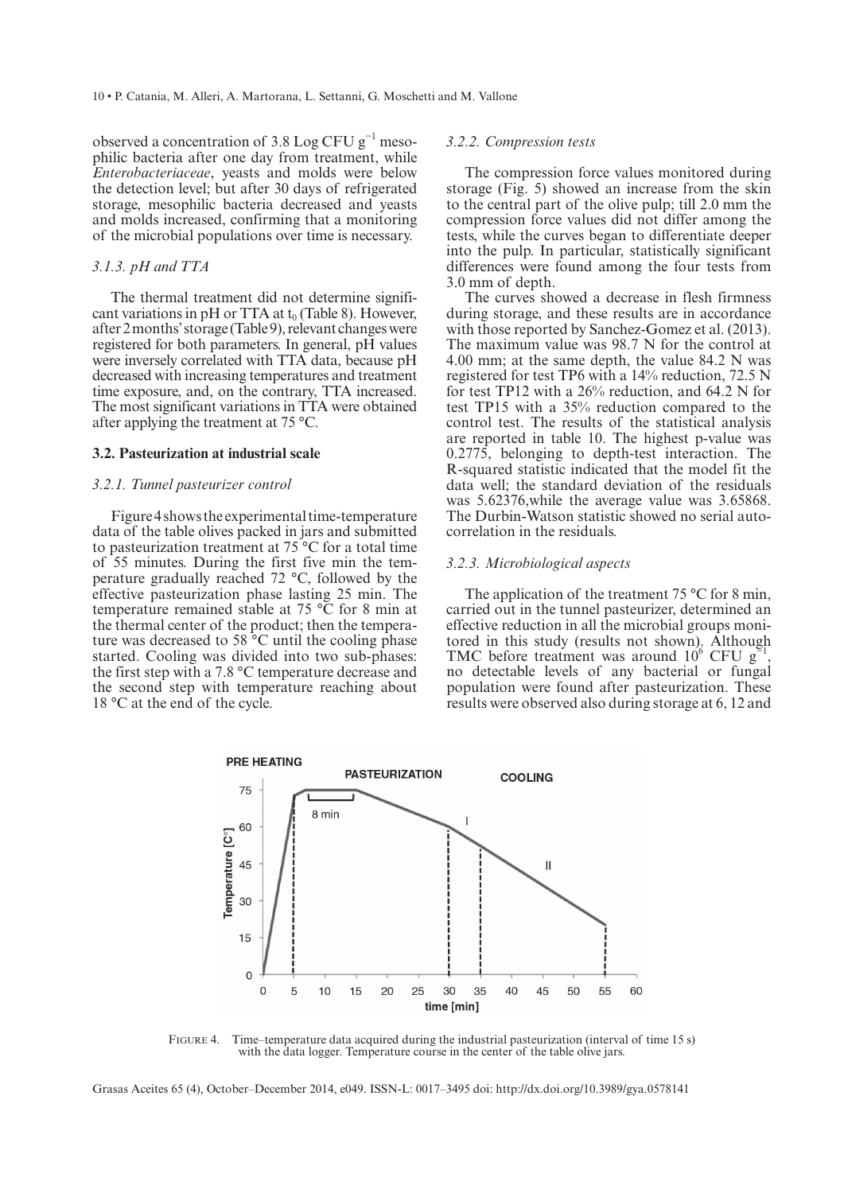observed a concentration of 3.8 Log CFU  $g^{-1}$  mesophilic bacteria after one day from treatment, while *Enterobacteriaceae*, yeasts and molds were below the detection level; but after 30 days of refrigerated storage, mesophilic bacteria decreased and yeasts and molds increased, confirming that a monitoring of the microbial populations over time is necessary.

## *3.1.3. pH and TTA*

The thermal treatment did not determine significant variations in pH or TTA at  $t_0$  (Table 8). However, after 2 months' storage (Table 9), relevant changes were registered for both parameters. In general, pH values were inversely correlated with TTA data, because pH decreased with increasing temperatures and treatment time exposure, and, on the contrary, TTA increased. The most significant variations in TTA were obtained after applying the treatment at 75 °C.

#### **3.2. Pasteurization at industrial scale**

#### *3.2.1. Tunnel pasteurizer control*

Figure 4 shows the experimental time-temperature data of the table olives packed in jars and submitted to pasteurization treatment at  $75^{\circ}$ C for a total time of 55 minutes. During the first five min the temperature gradually reached 72 °C, followed by the effective pasteurization phase lasting 25 min. The temperature remained stable at 75 °C for 8 min at the thermal center of the product; then the temperature was decreased to 58 $\degree$ C until the cooling phase started. Cooling was divided into two sub-phases: the first step with a 7.8 °C temperature decrease and the second step with temperature reaching about 18 °C at the end of the cycle.

#### *3.2.2. Compression tests*

The compression force values monitored during storage (Fig. 5) showed an increase from the skin to the central part of the olive pulp; till 2.0 mm the compression force values did not differ among the tests, while the curves began to differentiate deeper into the pulp. In particular, statistically significant differences were found among the four tests from 3.0 mm of depth.

The curves showed a decrease in flesh firmness during storage, and these results are in accordance with those reported by Sanchez-Gomez et al. (2013). The maximum value was 98.7 N for the control at 4.00 mm; at the same depth, the value 84.2 N was registered for test TP6 with a 14% reduction, 72.5 N for test TP12 with a 26% reduction, and 64.2 N for test TP15 with a 35% reduction compared to the control test. The results of the statistical analysis are reported in table 10. The highest p-value was 0.2775, belonging to depth-test interaction. The R-squared statistic indicated that the model fit the data well; the standard deviation of the residuals was 5.62376,while the average value was 3.65868. The Durbin-Watson statistic showed no serial autocorrelation in the residuals.

## *3.2.3. Microbiological aspects*

The application of the treatment 75 °C for 8 min, carried out in the tunnel pasteurizer, determined an effective reduction in all the microbial groups monitored in this study (results not shown). Although TMC before treatment was around  $10^6$  CFU  $g^{-1}$ , no detectable levels of any bacterial or fungal population were found after pasteurization. These results were observed also during storage at 6, 12 and



FIGURE 4. Time–temperature data acquired during the industrial pasteurization (interval of time 15 s) with the data logger. Temperature course in the center of the table olive jars.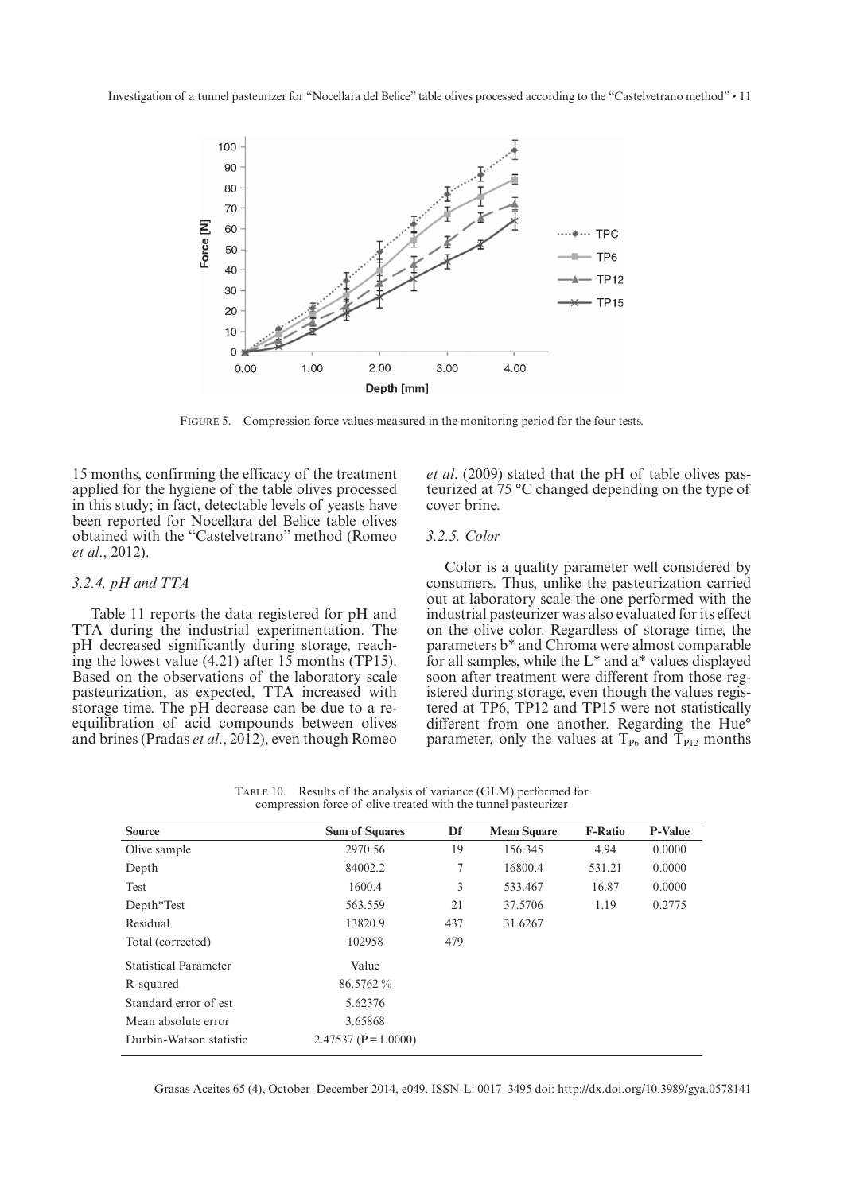Investigation of a tunnel pasteurizer for "Nocellara del Belice" table olives processed according to the "Castelvetrano method" • 11



FIGURE 5. Compression force values measured in the monitoring period for the four tests.

15 months, confirming the efficacy of the treatment applied for the hygiene of the table olives processed in this study; in fact, detectable levels of yeasts have been reported for Nocellara del Belice table olives obtained with the "Castelvetrano" method (Romeo *et al*., 2012).

# *3.2.4. pH and TTA*

Table 11 reports the data registered for pH and TTA during the industrial experimentation. The pH decreased significantly during storage, reaching the lowest value (4.21) after 15 months (TP15). Based on the observations of the laboratory scale pasteurization, as expected, TTA increased with storage time. The pH decrease can be due to a reequilibration of acid compounds between olives and brines (Pradas *et al*., 2012), even though Romeo

*et al*. (2009) stated that the pH of table olives pasteurized at 75 °C changed depending on the type of cover brine.

# *3.2.5. Color*

Color is a quality parameter well considered by consumers. Thus, unlike the pasteurization carried out at laboratory scale the one performed with the industrial pasteurizer was also evaluated for its effect on the olive color. Regardless of storage time, the parameters b\* and Chroma were almost comparable for all samples, while the  $L^*$  and  $a^*$  values displayed soon after treatment were different from those registered during storage, even though the values registered at TP6, TP12 and TP15 were not statistically different from one another. Regarding the Hue° parameter, only the values at  $T_{P6}$  and  $T_{P12}$  months

| TABLE 10. |  |                                                                | Results of the analysis of variance (GLM) performed for |
|-----------|--|----------------------------------------------------------------|---------------------------------------------------------|
|           |  | compression force of olive treated with the tunnel pasteurizer |                                                         |

| <b>Source</b>                | <b>Sum of Squares</b> | Df  | <b>Mean Square</b> | <b>F-Ratio</b> | <b>P-Value</b> |
|------------------------------|-----------------------|-----|--------------------|----------------|----------------|
| Olive sample                 | 2970.56               | 19  | 156.345            | 4.94           | 0.0000         |
| Depth                        | 84002.2               | 7   | 16800.4            | 531.21         | 0.0000         |
| Test                         | 1600.4                | 3   | 533.467            | 16.87          | 0.0000         |
| Depth*Test                   | 563.559               | 21  | 37.5706            | 1.19           | 0.2775         |
| Residual                     | 13820.9               | 437 | 31.6267            |                |                |
| Total (corrected)            | 102958                | 479 |                    |                |                |
| <b>Statistical Parameter</b> | Value                 |     |                    |                |                |
| R-squared                    | 86.5762 %             |     |                    |                |                |
| Standard error of est.       | 5.62376               |     |                    |                |                |
| Mean absolute error          | 3.65868               |     |                    |                |                |
| Durbin-Watson statistic      | $2.47537 (P=1.0000)$  |     |                    |                |                |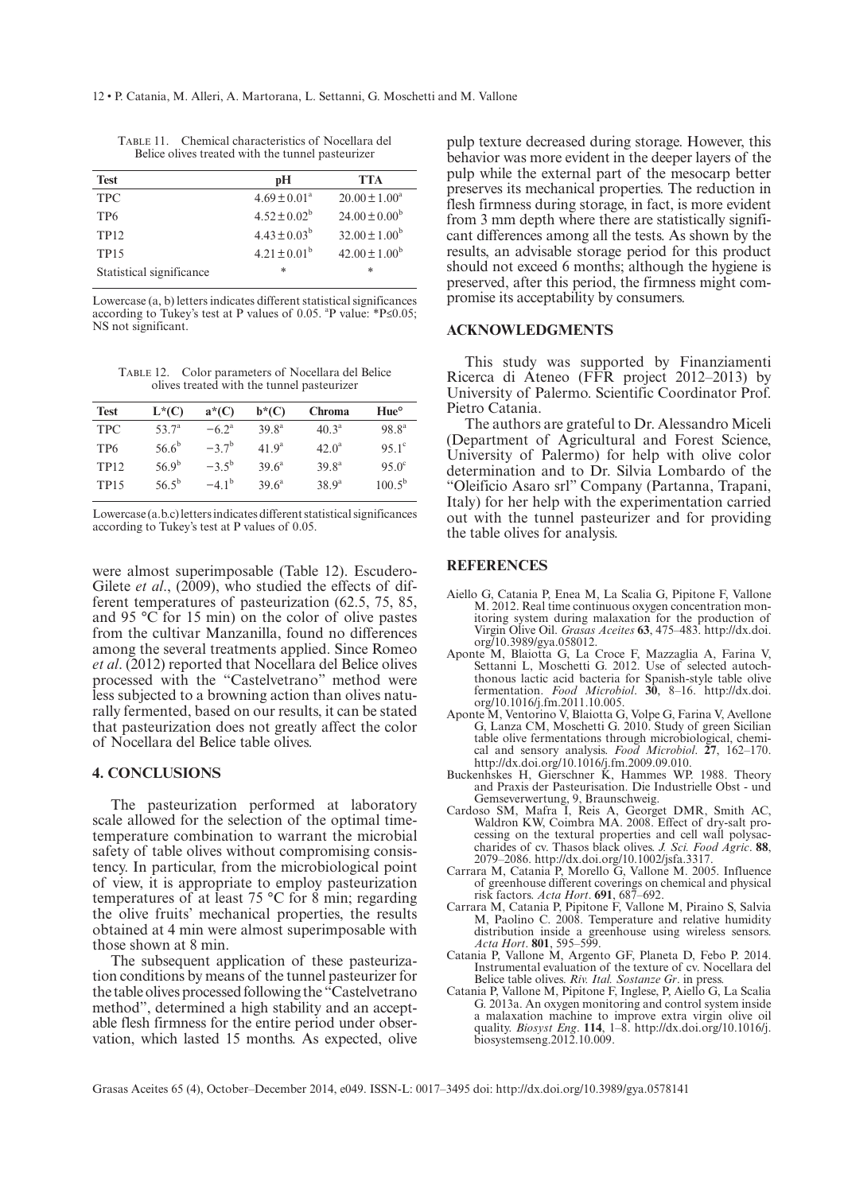| <b>Test</b>              | рH                      | TTA                      |
|--------------------------|-------------------------|--------------------------|
| <b>TPC</b>               | $4.69 \pm 0.01^a$       | $20.00 \pm 1.00^a$       |
| TP <sub>6</sub>          | $4.52 \pm 0.02^b$       | $24.00 \pm 0.00^{\rm b}$ |
| <b>TP12</b>              | $4.43 \pm 0.03^b$       | $32.00 \pm 1.00^b$       |
| <b>TP15</b>              | $4.21 \pm 0.01^{\rm b}$ | $42.00 \pm 1.00^b$       |
| Statistical significance | *                       | *                        |

TABLE 11. Chemical characteristics of Nocellara del Belice olives treated with the tunnel pasteurizer

Lowercase (a, b) letters indicates different statistical significances according to Tukey's test at P values of 0.05. <sup>a</sup> P value: \*P≤0.05; NS not significant.

TABLE 12. Color parameters of Nocellara del Belice olives treated with the tunnel pasteurizer

| <b>Test</b>     | $L^*(C)$          | $a^*(C)$       | $b^*(C)$          | <b>Chroma</b>     | $Hue^{\circ}$     |
|-----------------|-------------------|----------------|-------------------|-------------------|-------------------|
| <b>TPC</b>      | 53.7 <sup>a</sup> | $-6.2^{\circ}$ | 39.8 <sup>a</sup> | $40.3^{\rm a}$    | 98.8 <sup>a</sup> |
| TP <sub>6</sub> | $56.6^{b}$        | $-3.7^{b}$     | 41.9 <sup>a</sup> | $42.0^{\circ}$    | $95.1^{\circ}$    |
| <b>TP12</b>     | 56.9 <sup>b</sup> | $-3.5^{b}$     | $39.6^a$          | 39.8 <sup>a</sup> | $95.0^{\circ}$    |
| <b>TP15</b>     | 56.5 <sup>b</sup> | $-4.1^{b}$     | $39.6^a$          | $38.9^{a}$        | $100.5^{b}$       |

Lowercase (a.b.c) letters indicates different statistical significances according to Tukey's test at P values of 0.05.

were almost superimposable (Table 12). Escudero-Gilete *et al.*, (2009), who studied the effects of different temperatures of pasteurization (62.5, 75, 85, and 95  $\degree$ C for 15 min) on the color of olive pastes from the cultivar Manzanilla, found no differences among the several treatments applied. Since Romeo *et al*. (2012) reported that Nocellara del Belice olives processed with the "Castelvetrano" method were less subjected to a browning action than olives naturally fermented, based on our results, it can be stated that pasteurization does not greatly affect the color of Nocellara del Belice table olives.

# **4. CONCLUSIONS**

The pasteurization performed at laboratory scale allowed for the selection of the optimal timetemperature combination to warrant the microbial safety of table olives without compromising consistency. In particular, from the microbiological point of view, it is appropriate to employ pasteurization temperatures of at least 75 °C for 8 min; regarding the olive fruits' mechanical properties, the results obtained at 4 min were almost superimposable with those shown at 8 min.

The subsequent application of these pasteurization conditions by means of the tunnel pasteurizer for the table olives processed following the "Castelvetrano method", determined a high stability and an acceptable flesh firmness for the entire period under observation, which lasted 15 months. As expected, olive

pulp texture decreased during storage. However, this behavior was more evident in the deeper layers of the pulp while the external part of the mesocarp better preserves its mechanical properties. The reduction in flesh firmness during storage, in fact, is more evident from 3 mm depth where there are statistically significant differences among all the tests. As shown by the results, an advisable storage period for this product should not exceed 6 months; although the hygiene is preserved, after this period, the firmness might compromise its acceptability by consumers.

# **ACKNOWLEDGMENTS**

This study was supported by Finanziamenti Ricerca di Ateneo (FFR project 2012–2013) by University of Palermo. Scientific Coordinator Prof. Pietro Catania.

The authors are grateful to Dr. Alessandro Miceli (Department of Agricultural and Forest Science, University of Palermo) for help with olive color determination and to Dr. Silvia Lombardo of the "Oleificio Asaro srl" Company (Partanna, Trapani, Italy) for her help with the experimentation carried out with the tunnel pasteurizer and for providing the table olives for analysis.

#### **REFERENCES**

- Aiello G, Catania P, Enea M, La Scalia G, Pipitone F, Vallone M. 2012. Real time continuous oxygen concentration monitoring system during malaxation for the production of Virgin Olive Oil. *Grasas Aceites* **63**, 475–483. http://dx.doi. org/10.3989/gya.058012.
- Aponte M, Blaiotta G, La Croce F, Mazzaglia A, Farina V, Settanni L, Moschetti G. 2012. Use of selected autochthonous lactic acid bacteria for Spanish-style table olive fermentation. *Food Microbiol*. **30**, 8–16. http://dx.doi. org/10.1016/j.fm.2011.10.005.
- Aponte M, Ventorino V, Blaiotta G, Volpe G, Farina V, Avellone G, Lanza CM, Moschetti G. 2010. Study of green Sicilian table olive fermentations through microbiological, chemical and sensory analysis. *Food Microbiol*. **27**, 162–170. http://dx.doi.org/10.1016/j.fm.2009.09.010.
- Buckenhskes H, Gierschner K, Hammes WP. 1988. Theory and Praxis der Pasteurisation. Die Industrielle Obst - und Gemseverwertung, 9, Braunschweig.
- Cardoso SM, Mafra I, Reis A, Georget DMR, Smith AC, Waldron KW, Coimbra MA. 2008. Effect of dry-salt processing on the textural properties and cell wall polysaccharides of cv. Thasos black olives. *J. Sci. Food Agric*. **88**, 2079–2086. http://dx.doi.org/10.1002/jsfa.3317.
- Carrara M, Catania P, Morello G, Vallone M. 2005. Influence of greenhouse different coverings on chemical and physical risk factors. *Acta Hort*. **691**, 687–692.
- Carrara M, Catania P, Pipitone F, Vallone M, Piraino S, Salvia M, Paolino C. 2008. Temperature and relative humidity distribution inside a greenhouse using wireless sensors. *Acta Hort*. **801**, 595–599.
- Catania P, Vallone M, Argento GF, Planeta D, Febo P. 2014. Instrumental evaluation of the texture of cv. Nocellara del Belice table olives. *Riv. Ital. Sostanze Gr*. in press.
- Catania P, Vallone M, Pipitone F, Inglese, P, Aiello G, La Scalia G. 2013a. An oxygen monitoring and control system inside a malaxation machine to improve extra virgin olive oil quality. *Biosyst Eng*. **114**, 1–8. http://dx.doi.org/10.1016/j. biosystemseng.2012.10.009.